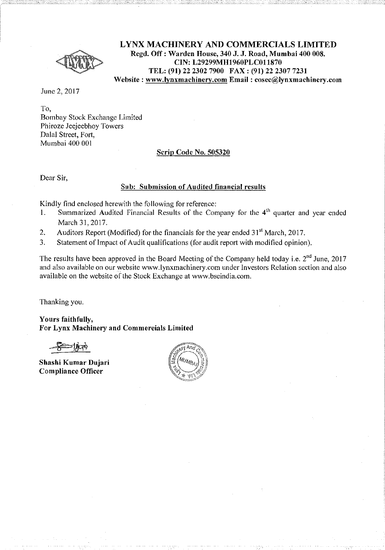

**LYNX MACHINERY AND COMMERCIALS LIMITED Regd. Off: Warden House, 340 J. J. Road, Mumbai 400 008. CIN: L29299MH1960PLC011870 TEL: (91) 22 2302 7900 FAX: (91) 22 2307 7231 Website: www.lynxmachinery.com Email : cosec@lynxmachinery.com** 

June 2, 2017

To, Bombay Stock Exchange Limited Phiroze Jeejeebhoy Towers Dalal Street, Fort, Mumbai 400 001

### **Scrip Code** No. **505320**

Dear Sir,

### **Sub: Submission of Audited financial results**

Kindly find enclosed herewith the following for reference:

- 1. Summarized Audited Financial Results of the Company for the  $4<sup>th</sup>$  quarter and year ended March 31,2017.
- 2. Auditors Report (Modified) for the financials for the year ended  $31<sup>st</sup>$  March, 2017.
- 3. Statement of Impact of Audit qualifications (for audit report with modified opinion).

The results have been approved in the Board Meeting of the Company held today i.e. 2<sup>nd</sup> June, 2017 and also available on our website www.lynxmachinery.com under Investors Relation section and also available on the website of the Stock Exchange at www.bseindia.com.

Thanking you.

**Yours faithfully, For Lynx Machinery and Commercials Limited** 

**Shashi Kumar Dujari Compliance Officer** 

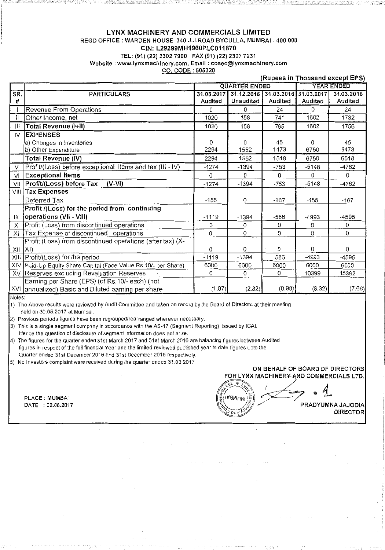### LYNX MACHINERY AND COMMERCIALS LIMITED REGD OFFICE : WARDEN HOUSE, 340 J.J.ROAD BYCULLA, MUMBAI - 400 008 CIN: L29299MH1960PLC011870 TEL: (91) (22) 2302 7900 FAX (91) (22) 2307 7231 **Website: www.lynxmachinery.com, Email: cosec@lynxmachinery.com**  CO. CODE : 505320

|               |                                                             |          |                                             |          |         | (Rupees in Thousand except EPS) |
|---------------|-------------------------------------------------------------|----------|---------------------------------------------|----------|---------|---------------------------------|
|               |                                                             |          | <b>QUARTER ENDED</b>                        |          |         | <b>YEAR ENDED</b>               |
| SR.           | <b>PARTICULARS</b>                                          |          | 31.03.2017 31.12.2016 31.03.2016 31.03.2017 |          |         | 31.03.2016                      |
| #             |                                                             | Audited  | <b>Unaudited</b>                            | Audited  | Audited | Audited                         |
|               | Revenue From Operations                                     | O        | $\Omega$                                    | 24       | 0       | 24                              |
| Ш             | Other Income, net                                           | 1020     | 158                                         | 741      | 1602    | 1732                            |
| ШI            | <b>Total Revenue (I+II)</b>                                 | 1020     | 158                                         | 765      | 1602    | 1756                            |
| $\mathsf{IV}$ | <b>EXPENSES</b>                                             |          |                                             |          |         |                                 |
|               | a) Changes in Inventories                                   | 0        | 0                                           | 45       | 0       | 45                              |
|               | b) Other Expenditure                                        | 2294     | 1552                                        | 1473     | 6750    | 6473                            |
|               | Total Revenue (IV)                                          | 2294     | 1552                                        | 1518     | 6750    | 6518                            |
| V             | Profit/(Loss) before exceptional items and tax (III - IV)   | $-1274$  | $-1394$                                     | $-753$   | $-5148$ | -4762                           |
| VI            | <b>Exceptional Items</b>                                    | $\Omega$ | $\Omega$                                    | $\Omega$ | 0       | $\Omega$                        |
| VII           | Profit/(Loss) before Tax<br>$(V-VI)$                        | $-1274$  | $-1394$                                     | $-753$   | $-5148$ | $-4762$                         |
|               | <b>VIII Tax Expenses</b>                                    |          |                                             |          |         |                                 |
|               | Deferred Tax                                                | $-155$   | 0                                           | $-167$   | $-155$  | $-167$                          |
|               | Profit /(Loss) for the period from continuing               |          |                                             |          |         |                                 |
| IX            | operations (VII - VIII)                                     | $-1119$  | $-1394$                                     | $-586$   | $-4993$ | -4595                           |
| X             | Profit (Loss) from discontinued operations                  | 0        | $\Omega$                                    | $\Omega$ | 0       | $\Omega$                        |
| XI            | Tax Expense of discontinued operations                      | 0        | 0                                           | 0        | 0       | 0                               |
|               | Profit (Loss) from discontinued operations (after tax) (X-  |          |                                             |          |         |                                 |
| XII           | X                                                           | 0        | 0                                           | 0        | 0       | $\Omega$                        |
| XIII          | Profit/(Loss) for the period                                | $-1119$  | $-1394$                                     | $-586$   | $-4993$ | $-4595$                         |
| XIV           | Paid-Up Equity Share Capital (Face Value Rs.10/- per Share) | 6000     | 6000                                        | 6000     | 6000    | 6000                            |
|               | XV Reserves excluding Revaluation Reserves                  | 0        | 0                                           | 0        | 10399   | 15392                           |
|               | Earning per Share (EPS) (of Rs.10/- each) (not              |          |                                             |          |         |                                 |
|               | XVI annualized) Basic and Diluted earning per share         | (1.87)   | (2.32)                                      | (0.98)   | (8.32)  | (7.66)                          |

Notes:

1) The Above results were reviewed by Audit Committee and taken on record by the Board of Directors at their meeting held on 30.05.2017 at Murnbai.

2) Previous periods figures have been regrouped/rearranged wherever necessary.

3) This is a single segment company in accordance with the AS~17 (Segment Reporting) issued by I CAl.

Hence the question of disclosure of segment information does not arise.

4) The figures for the quarter ended 31st March 2017 and 31st March 2016 are balancing figures between Audited figures in respect of the full financial Year and the limited reviewed published year to date figures upto the Quarter ended 31st December 2016 and 31st December 2015 respectively.

5) No Investors complaint were received during the quarter ended 31.03.2017

### ON BEHALF OF BOARD OF DIRECTORS FOR LYNX MACHINERY AND COMMERCIALS LTD.

 $\heartsuit$ 

 $\sqrt{\frac{1}{2} \cdot \frac{1}{2} \cdot \frac{1}{2}}$  . 4 PLACE : MUMBAI PLACE : MUMBAI COMMERCIALS LTD.<br>DATE : 02.06.2017 PRADYUMNA JAJODIA  $D_{\text{DUV}}$ <sup>N<sub>2</sub>  $\sqrt{N^2}$  DIRECTOR</sup>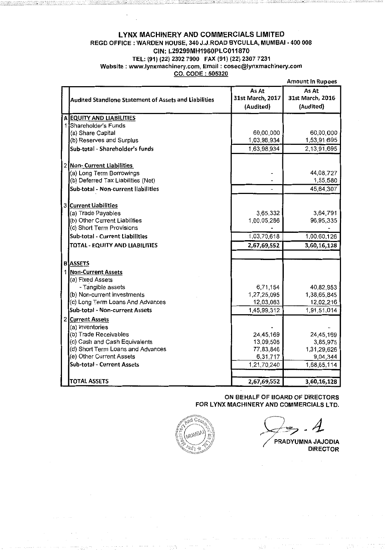### LYNX MACHINERY AND COMMERCIALS LIMITED REGD OFFICE : WARDEN HOUSE, 340 J.J.ROAD BYCULLA, MUMBAI • 400 008 CIN: L29299MH1960PLC011870 TEL: (91) (22) 2302 7900 FAX (91) (22) 2307 7231 Website : www.lynxmachinery.com, Email : cosec@lynxmachinery.com CO. CODE : 505320

|                                                       |                                        | <b>Amount In Rupees</b>                |
|-------------------------------------------------------|----------------------------------------|----------------------------------------|
| Audited Standlone Statement of Assets and Liabilities | As At<br>31st March, 2017<br>(Audited) | As At<br>31st March, 2016<br>(Audited) |
| A EQUITY AND LIABILITIES                              |                                        |                                        |
| 1 Shareholder's Funds                                 |                                        |                                        |
| (a) Share Capital                                     | 60,00,000                              | 60,00,000                              |
| (b) Reserves and Surplus                              | 1,03,98,934                            | 1,53,91,695                            |
| Sub-total - Shareholder's funds                       | 1,63,98,934                            | 2,13,91,695                            |
| 2 Non- Current Liabilities                            |                                        |                                        |
| (a) Long Term Borrowings                              |                                        | 44,08,727                              |
| (b) Deferred Tax Liabilities (Net)                    |                                        | 1,55,580                               |
| Sub-total - Non-current liabilities                   |                                        | 45,64,307                              |
| 3 Current Liabilities                                 |                                        |                                        |
| (a) Trade Payables                                    | 3,65,332                               | 3,64,791                               |
| (b) Other Current Liabilities                         | 1,00,05,286                            | 96,95,335                              |
| (c) Short Term Provisions                             |                                        |                                        |
| Sub-total - Current Liabilities                       | 1,03,70,618                            | 1,00,60,126                            |
| TOTAL - EQUITY AND LIABILITIES                        | 2,67,69,552                            | 3,60,16,128                            |
| <b>B</b> ASSETS                                       |                                        |                                        |
|                                                       |                                        |                                        |
| 1 Non-Current Assets<br>(a) Fixed Assets              |                                        |                                        |
| - Tangible assets                                     | 6,71.154                               | 40,82,953                              |
| (b) Non-current investments                           | 1,27,25,095                            | 1,38,65,845                            |
| (c) Long Term Loans And Advances                      | 12,03,063                              | 12,02,216                              |
| Sub-total - Non-current Assets                        | 1,45,99,312                            | 1,91,51,014                            |
| 2 Current Assets                                      |                                        |                                        |
| (a) Inventories                                       |                                        |                                        |
| (b) Trade Receivables                                 | 24,45,169                              | 24,45,169                              |
| (c) Cash and Cash Equivalents                         | 13,09,508                              | 3,85,975                               |
| (d) Short Term Loans and Advances                     | 77,83,846                              | 1.31,29,626                            |
| (e) Other Current Assets                              | 6,31.717                               | 9,04,344                               |
| Sub-total - Current Assets                            | 1,21,70,240                            | 1,68,65,114                            |
|                                                       |                                        |                                        |
| <b>TOTAL ASSETS</b>                                   | 2,67,69,552                            | 3,60,16,128                            |

### ON BEHALF OF BOARD OF DIRECTORS FOR LYNX MACHINERY AND COMMERCIALS LTD.



PRADYUMNA JAJODIA **DIRECTOR**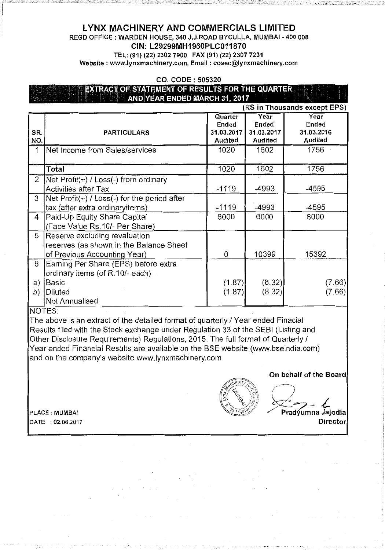# LYNX MACHINERY AND COMMERCIALS LIMITED

REGD OFFICE : WARDEN HOUSE, 340 J.J.ROAD BYCULLA, MUMBAI - 400 008

GIN: L29299MH1960PLC011870

TEL: (91) (22) 2302 7900 FAX (91) (22) 2307 7231 Website : www.lynxmachinery.com, Email : cosec@lynxmachinery.com

CO. CODE : 505320

# EXTRACT OF STATEMENT OF RESULTS FOR THE QUARTER AND YEAR ENDED MARCH 31, 2017 (RS in Thousands except EPS)

|              |                                                |            |                | $(100 \text{ m} \cdot 110033 \text{ m})$ |
|--------------|------------------------------------------------|------------|----------------|------------------------------------------|
|              |                                                | Quarter    | Year           | Year                                     |
|              |                                                | Ended      | Ended          | Ended                                    |
| SR.          | <b>PARTICULARS</b>                             | 31.03.2017 | 31.03.2017     | 31.03.2016                               |
| NO.          |                                                | Audited    | <b>Audited</b> | <b>Audited</b>                           |
|              | Net Income from Sales/services                 | 1020       | 1602           | 1756                                     |
|              |                                                |            |                |                                          |
|              | Total                                          | 1020       | 1602           | 1756                                     |
| $\mathbf{2}$ | $Net Profit(+) / Loss(-) from ordinary$        |            |                |                                          |
|              | Activities after Tax                           | $-1119$    | -4993          | -4595                                    |
| 3            | $Net Profit(+) / Loss(-)$ for the period after |            |                |                                          |
|              | tax (after extra ordinaryitems)                | $-1119$    | -4993          | -4595                                    |
| 4            | Paid-Up Equity Share Capital                   | 6000       | 6000           | 6000                                     |
|              | (Face Value Rs.10/- Per Share)                 |            |                |                                          |
| 5            | Reserve excluding revaluation                  |            |                |                                          |
|              | reserves (as shown in the Balance Sheet        |            |                |                                          |
|              | of Previous Accounting Year)                   | 0          | 10399          | 15392                                    |
| 6            | Earning Per Share (EPS) before extra           |            |                |                                          |
|              | ordinary items (of R.10/- each)                |            |                |                                          |
| a)           | Basic                                          | (1.87)     | (8.32)         | (7.66)                                   |
| b)           | Diluted                                        | (1.87)     | (8.32)         | (7.66)                                   |
|              | Not Annualised                                 |            |                |                                          |

NOTES:

The above is an extract of the detailed format of quarterly / Year ended Finacial Results filed with the Stock exchange under Regulation 33 of the SEBI (Listing and Other Disclosure Requirements) Regulations, 2015. The full format of Quarterly I Year ended Financial Results are available on the BSE website (www.bseindia.com) and on the company's website www.lynxmachinery.com

On behalf of the Board

DATE : 02.06.2017 Director

 $e^{c|r|}$  $4^{2}$  $(\mathbb{S}(\mathbb{Z}_2)_{\mathbb{S}})$ {( ~ . . 'f.-*j*  .J  $\langle o \rangle$ 

~-~=:::.o:::t-

 $\left(\begin{matrix} \mathcal{A}_{\mathcal{L}} & \mathcal{A}_{\mathcal{L}} \\ \mathcal{A}_{\mathcal{L}} & \mathcal{A}_{\mathcal{L}} \end{matrix}\right)$  $\gg$ PLACE : MUMBAI PLACE : MUMBAI PRAGUELLA PRAGUELLA PRAGUELLA PRAGUELLA PRAGUELLA PRAGUELLA PRAGUELLA PRAGUELLA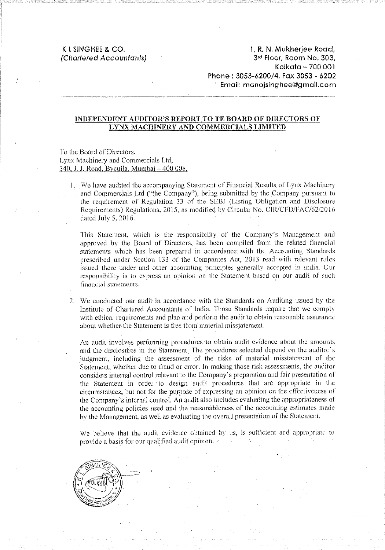## K L SINGHEE & CO. (Chartered Accountants)

1, R. N. Mukherjee Road, 3rd Floor, Room No. 303, Kolkata- 700 001 Phone: 3053-6200/4, Fax 3053 - 6202 Email: manojsinghee@gmail.com

### INDEPENDENT AUDITOR'S REPORT TO TE BOARD OF DIRECTORS OF LYNX MACHINERY AND COMMERCIALS LIMITED

### To the Board of Directors, Lynx Machinery and Commercials Ltd, 340, J. J. Road. Byculla, Mumbai -400 008.

1. We have audited the accompanying Statement of Financial Results of Lynx Machinery and Commercials Ltd ("the Company"), being submitted by the Company pursuant to the requirement of Regulation  $33$  of the SEBI (Listing Obligation and Disclosure Requirements) Regulations, 2015, as modified by Circular No. CIR/CFD/FAC/62/2016 dated July 5, 2016.

This Statemenl. which is the responsibility of the Company's Management ami approved by the Board of Directors, has been compiled from the related financial statements which has been prepared in accordance. with the Accounting Standards prescribed under Section 133 of the Companies Act, 2013 read with relevant rules issued there under and other accounting principles generally accepted in India. Our responsibility is to express an opinion on the Statement based on our audit of such financial statements.

2. We conducted our audit in accordance with the Standards on Auditing issued by the Institute of Chartered Accountants of India. 'fhose Standards require that we comply with ethical requirements and plan and perform the audit to obtain reasonable assurance about whether the Statement is free from material misstatement.

An audit involves performing procedures to obtain audit evidence about the amounts and the disclosures in the Statement. The procedures selected depend on the auditor's judgment, including the assessment of the risks of material misstatement of the Statement, whether due to fraud or error. In making those risk assessments, the auditor considers internal control relevant to the Company's preparation and fair presentation of the Statement in order ·to design audit procedures that arc appropriate in the circumstances, but not for the purpose of expressing an opinion on the effectiveness of the Company's internal control. An audit also includes evaluating the appropriateness of the accounting policies used and the reasonableness of the accounting estimates made by the Management, as well as evaluating the overall presentation of the Statement.

We believe that the audit evidence obtained by us, is sufficient and appropriate to provide a basis for our qualified audit opinion.

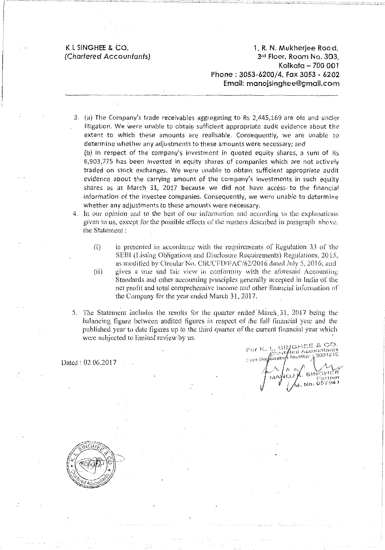### K L SINGHEE & CO. (Chartered Accountants)

1, R. N. Mukherjee Road, 3rd Floor, Room No. 303, Kolkala - 700 001 Phone : 3053-6200/4, Fax 3053 - 6202 Email: manojsinghee@gmail.com

3. (a) The Company's trade receivables aggregating to Rs 2,445,169 are old and under litigation. We were unable to obtain sufficient appropriate audit evidence about the extent to which these amounts are realisable. Consequently, we are unable to determine whether any adjustments to these amounts were necessary; and (b) In respect of the company's investment in quoted equity shares, a sum of  $\mathsf{Rs}$ 6,903,775 has been invested in equity shares of companies which are not actively

traded on stock exchanges. We were unable to obtain sufficient appropriate audit evidence about the carrying amount of the company's investments in such equity shares as at March 31, 2017 because we did not have access to the financial information of the investee companies. Consequently, we were unable to determine whether any adjustments to these amounts were necessary.

4. In our opinion and to the best of our information and according to the explanations given to us, except for the possibk effects of the matters described in paragraph above. the Statement :

- $(i)$  is presented in accordance with the requirements of Regulation 33 of the SEBI (Listing Obligations and Disclosure Requirements) Regulations, 2015, as modified by Circular No. CIR/CFD/FAC/62/2016 dated July 5, 2016; and  $(ii)$  gives a true and fair view in conformity with the aforesaid Accounting Standards and other accouniing principles generally accepted in India of the net profit and total comprehensive income and other financial information of the Company for the year ended March 31, 2017.
- 5. The Statement indudcs the results for the quarter ended'Mmch,31, 2017 being the balancing figure between audited figures in respect of the full linancial year and the published year to date ligures up to rhe third quarter of the current tinancial year which were subjected to limited review by us.

Dated : 02.06.2017

For K. L. StNGHEE & CO.<br>Firm Registried Accountants<br>Firm Registried Bumber 1903121E rior : Chart fred Accountance t<br>|<br>|<br>|

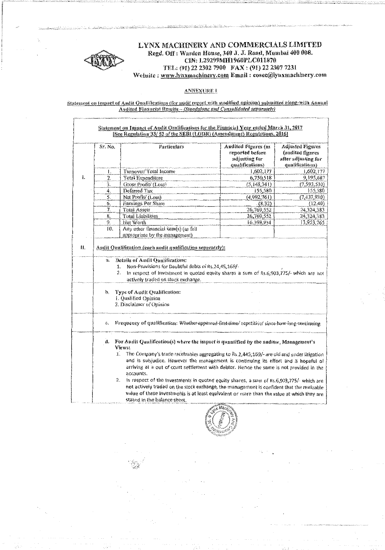

### LYNX MACHINERY AND COMMERCIALS LIMITED Regd. Off: Warden House, 340 J. J. Road, Mumbai 400 008. CIN: 1.29299MH1960PLC011870 TEL: (91) 22 2302 7900 FAX: (91) 22 2307 7231 Website: www.lynxmachinery.com Email: cosec@lynxmachinery.com

#### **ANNEXURE 1**

Statement on Impact of Andit Qualifications (for audit report with modified opinion) submitted along-with Annual Audited Financial Results - (Standalone and Consulidated separately)

|    | Sr. No.          | Particulars                                                                                                                                                                                   | <b>Audited Figures</b> (as<br>reported before<br>adjusting for<br>qualifications) | <b>Adjusted Figures</b><br>(audited figures<br>after adjusting for<br>qualifications) |
|----|------------------|-----------------------------------------------------------------------------------------------------------------------------------------------------------------------------------------------|-----------------------------------------------------------------------------------|---------------------------------------------------------------------------------------|
|    | ι.               | Turnover/Total Income                                                                                                                                                                         | 1,602,177                                                                         | 1,602,177                                                                             |
| ł. | $\overline{2}$ . | Total Expenditure                                                                                                                                                                             | 6,750,518                                                                         | 9,195,687                                                                             |
|    | 3.               | Gross Profit/ (Loss)                                                                                                                                                                          | (5,148,341)                                                                       | (7, 593, 510)                                                                         |
|    | 4.               | Deferred Tax                                                                                                                                                                                  | 155,580                                                                           | 155,580                                                                               |
|    | 5.               | Net Profit/ (Loss)                                                                                                                                                                            | (4,992,761)                                                                       | (7,437,930)                                                                           |
|    | Ő.               | Earnings Per Share                                                                                                                                                                            | (8,32)                                                                            | (12.40)                                                                               |
|    | 7.               | Total Assets                                                                                                                                                                                  | 26,769,552                                                                        | 24,324,383                                                                            |
|    | 8.               | Total Liabilities                                                                                                                                                                             | 26,769,552                                                                        | 24,324,383                                                                            |
|    | 9.               | Net Worth                                                                                                                                                                                     | 16,398,934                                                                        | 13,953,765                                                                            |
|    | Ïб.              | Any other financial item(s) (as felt<br>appropriate by the management)                                                                                                                        |                                                                                   |                                                                                       |
|    | п.               | Details of Audit Qualifications:<br>Non-Provisions for Doubtful debts of Rs.24,45,169/-<br>1.<br>In respect of investment in quoted equity shares a sum of Rs.6,903,775/- which are not<br>2. |                                                                                   |                                                                                       |
|    | b.               | actively traded on stock exchange.<br>Type of Audit Qualification:<br>1. Qualified Opinion<br>2. Disclaimer of Opinion                                                                        |                                                                                   |                                                                                       |
|    | C.               | Frequency of qualification: Whather appeared first time/repetitive/since-how-long-continuing.                                                                                                 |                                                                                   |                                                                                       |